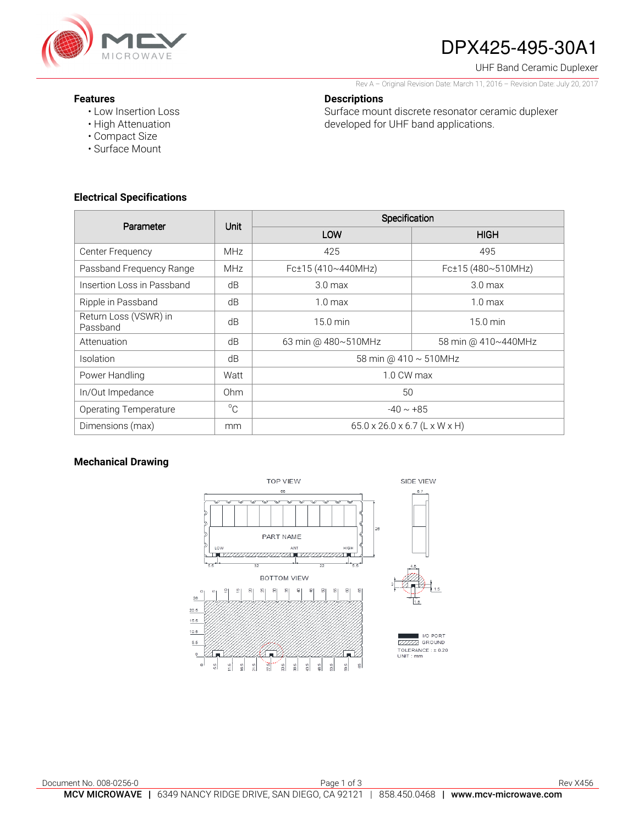

# DPX425-495-30A1

UHF Band Ceramic Duplexer

Rev A – Original Revision Date: March 11, 2016 – Revision Date: July 20, 2017

### **Features**

• Low Insertion Loss

**Descriptions** 

Surface mount discrete resonator ceramic duplexer developed for UHF band applications.

- High Attenuation
- Compact Size
- Surface Mount

## **Electrical Specifications**

| Parameter                         | <b>Unit</b>     | Specification                             |                     |
|-----------------------------------|-----------------|-------------------------------------------|---------------------|
|                                   |                 | LOW                                       | <b>HIGH</b>         |
| Center Frequency                  | <b>MHz</b>      | 425                                       | 495                 |
| Passband Frequency Range          | <b>MHz</b>      | Fc±15 (410~440MHz)                        | Fc±15 (480~510MHz)  |
| Insertion Loss in Passband        | dB              | 3.0 <sub>max</sub>                        | 3.0 <sub>max</sub>  |
| Ripple in Passband                | dB              | $1.0 \text{ max}$                         | 1.0 <sub>max</sub>  |
| Return Loss (VSWR) in<br>Passband | dB              | $15.0 \text{ min}$                        | $15.0 \text{ min}$  |
| Attenuation                       | dB              | 63 min @ 480~510MHz                       | 58 min @ 410~440MHz |
| <b>Isolation</b>                  | dB              | 58 min @ 410 ~ 510MHz                     |                     |
| Power Handling                    | Watt            | 1.0 CW max                                |                     |
| In/Out Impedance                  | 0 <sub>hm</sub> | 50                                        |                     |
| <b>Operating Temperature</b>      | $^{\circ}$ C    | $-40 \sim +85$                            |                     |
| Dimensions (max)                  | mm              | $65.0 \times 26.0 \times 6.7$ (L x W x H) |                     |

## **Mechanical Drawing**

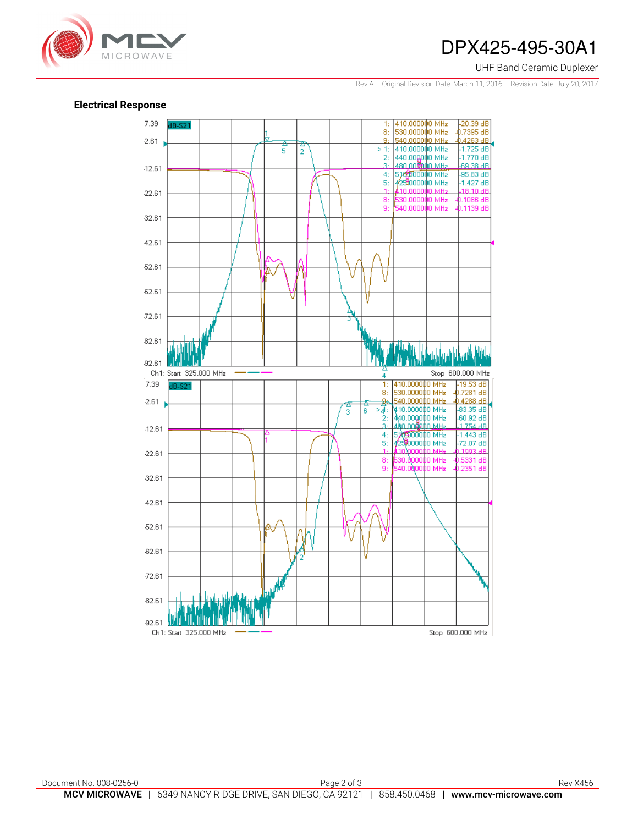

## DPX425-495-30A1

#### UHF Band Ceramic Duplexer

Rev A – Original Revision Date: March 11, 2016 – Revision Date: July 20, 2017

### **Electrical Response**